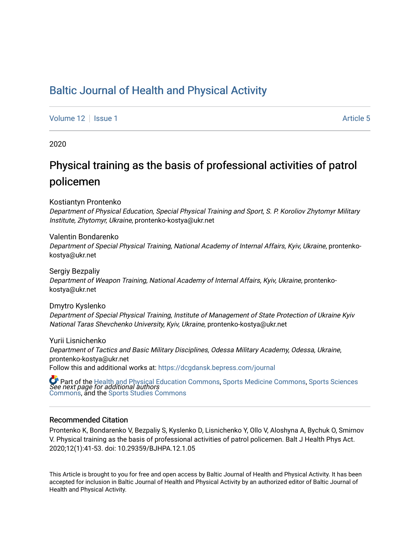## [Baltic Journal of Health and Physical Activity](https://dcgdansk.bepress.com/journal)

[Volume 12](https://dcgdansk.bepress.com/journal/vol12) Setus 1 Article 5

2020

# Physical training as the basis of professional activities of patrol policemen

Kostiantyn Prontenko

Department of Physical Education, Special Physical Training and Sport, S. P. Koroliov Zhytomyr Military Institute, Zhytomyr, Ukraine, prontenko-kostya@ukr.net

Valentin Bondarenko

Department of Special Physical Training, National Academy of Internal Affairs, Kyiv, Ukraine, prontenkokostya@ukr.net

Sergiy Bezpaliy Department of Weapon Training, National Academy of Internal Affairs, Kyiv, Ukraine, prontenkokostya@ukr.net

Dmytro Kyslenko Department of Special Physical Training, Institute of Management of State Protection of Ukraine Kyiv National Taras Shevchenko University, Kyiv, Ukraine, prontenko-kostya@ukr.net

Yurii Lisnichenko Department of Tactics and Basic Military Disciplines, Odessa Military Academy, Odessa, Ukraine, prontenko-kostya@ukr.net Follow this and additional works at: [https://dcgdansk.bepress.com/journal](https://dcgdansk.bepress.com/journal?utm_source=dcgdansk.bepress.com%2Fjournal%2Fvol12%2Fiss1%2F5&utm_medium=PDF&utm_campaign=PDFCoverPages)

 $\bullet$  Part of the [Health and Physical Education Commons](http://network.bepress.com/hgg/discipline/1327?utm_source=dcgdansk.bepress.com%2Fjournal%2Fvol12%2Fiss1%2F5&utm_medium=PDF&utm_campaign=PDFCoverPages), [Sports Medicine Commons,](http://network.bepress.com/hgg/discipline/1331?utm_source=dcgdansk.bepress.com%2Fjournal%2Fvol12%2Fiss1%2F5&utm_medium=PDF&utm_campaign=PDFCoverPages) [Sports Sciences](http://network.bepress.com/hgg/discipline/759?utm_source=dcgdansk.bepress.com%2Fjournal%2Fvol12%2Fiss1%2F5&utm_medium=PDF&utm_campaign=PDFCoverPages)<br>*See next page for additional authors* [Commons](http://network.bepress.com/hgg/discipline/759?utm_source=dcgdansk.bepress.com%2Fjournal%2Fvol12%2Fiss1%2F5&utm_medium=PDF&utm_campaign=PDFCoverPages), and the [Sports Studies Commons](http://network.bepress.com/hgg/discipline/1198?utm_source=dcgdansk.bepress.com%2Fjournal%2Fvol12%2Fiss1%2F5&utm_medium=PDF&utm_campaign=PDFCoverPages) 

#### Recommended Citation

Prontenko K, Bondarenko V, Bezpaliy S, Kyslenko D, Lisnichenko Y, Ollo V, Aloshyna A, Bychuk O, Smirnov V. Physical training as the basis of professional activities of patrol policemen. Balt J Health Phys Act. 2020;12(1):41-53. doi: 10.29359/BJHPA.12.1.05

This Article is brought to you for free and open access by Baltic Journal of Health and Physical Activity. It has been accepted for inclusion in Baltic Journal of Health and Physical Activity by an authorized editor of Baltic Journal of Health and Physical Activity.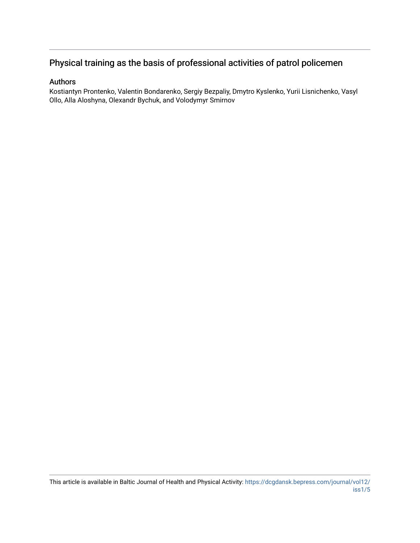## Physical training as the basis of professional activities of patrol policemen

### Authors

Kostiantyn Prontenko, Valentin Bondarenko, Sergiy Bezpaliy, Dmytro Kyslenko, Yurii Lisnichenko, Vasyl Ollo, Alla Aloshyna, Olexandr Bychuk, and Volodymyr Smirnov

This article is available in Baltic Journal of Health and Physical Activity: [https://dcgdansk.bepress.com/journal/vol12/](https://dcgdansk.bepress.com/journal/vol12/iss1/5) [iss1/5](https://dcgdansk.bepress.com/journal/vol12/iss1/5)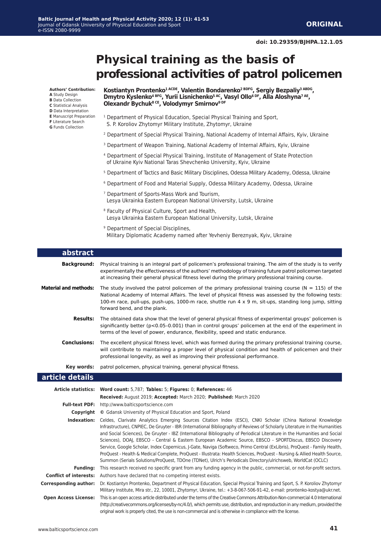# **Physical training as the basis of professional activities of patrol policemen**

**Authors' Contribution:**

- **A** Study Design
- **B** Data Collection
- **C** Statistical Analysis **D** Data Interpretation
- **E** Manuscript Preparation
- **F** Literature Search
- **G** Funds Collection

#### Kostiantyn Prontenko<sup>1 ACDE</sup>, Valentin Bondarenko<sup>2 BDFG</sup>, Sergiy Bezpaliy<sup>3 ABDG</sup>, **Dmytro Kyslenko4 BFG, Yurii Lisnichenko5 AC, Vasyl Ollo6 DF, Alla Aloshyna7 AE, Olexandr Bychuk8 CE, Volodymyr Smirnov9 DF**

- <sup>1</sup> Department of Physical Education, Special Physical Training and Sport, S. P. Koroliov Zhytomyr Military Institute, Zhytomyr, Ukraine
- <sup>2</sup> Department of Special Physical Training, National Academy of Internal Affairs, Kyiv, Ukraine
- <sup>3</sup> Department of Weapon Training, National Academy of Internal Affairs, Kyiv, Ukraine
- 4 Department of Special Physical Training, Institute of Management of State Protection of Ukraine Kyiv National Taras Shevchenko University, Kyiv, Ukraine
- 5 Department of Tactics and Basic Military Disciplines, Odessa Military Academy, Odessa, Ukraine
- 6 Department of Food and Material Supply, Odessa Military Academy, Odessa, Ukraine
- 7 Department of Sports-Mass Work and Tourism, Lesya Ukrainka Eastern European National University, Lutsk, Ukraine
- 8 Faculty of Physical Culture, Sport and Health, Lesya Ukrainka Eastern European National University, Lutsk, Ukraine
- <sup>9</sup> Department of Special Disciplines, Military Diplomatic Academy named after Yevheniy Bereznyak, Kyiv, Ukraine

| abstract                     |                                                                                                                                                                                                                                                                                                                                                                                                                                                                                                                                                                                                                                                                                                                                                       |
|------------------------------|-------------------------------------------------------------------------------------------------------------------------------------------------------------------------------------------------------------------------------------------------------------------------------------------------------------------------------------------------------------------------------------------------------------------------------------------------------------------------------------------------------------------------------------------------------------------------------------------------------------------------------------------------------------------------------------------------------------------------------------------------------|
| <b>Background:</b>           | Physical training is an integral part of policemen's professional training. The aim of the study is to verify<br>experimentally the effectiveness of the authors' methodology of training future patrol policemen targeted<br>at increasing their general physical fitness level during the primary professional training course.                                                                                                                                                                                                                                                                                                                                                                                                                     |
| <b>Material and methods:</b> | The study involved the patrol policemen of the primary professional training course ( $N = 115$ ) of the<br>National Academy of Internal Affairs. The level of physical fitness was assessed by the following tests:<br>100-m race, pull-ups, push-ups, 1000-m race, shuttle run $4 \times 9$ m, sit-ups, standing long jump, sitting<br>forward bend, and the plank.                                                                                                                                                                                                                                                                                                                                                                                 |
| <b>Results:</b>              | The obtained data show that the level of general physical fitness of experimental groups' policemen is<br>significantly better $(p<0.05-0.001)$ than in control groups' policemen at the end of the experiment in<br>terms of the level of power, endurance, flexibility, speed and static endurance.                                                                                                                                                                                                                                                                                                                                                                                                                                                 |
| <b>Conclusions:</b>          | The excellent physical fitness level, which was formed during the primary professional training course,<br>will contribute to maintaining a proper level of physical condition and health of policemen and their<br>professional longevity, as well as improving their professional performance.                                                                                                                                                                                                                                                                                                                                                                                                                                                      |
| Key words:                   | patrol policemen, physical training, general physical fitness.                                                                                                                                                                                                                                                                                                                                                                                                                                                                                                                                                                                                                                                                                        |
| article details              |                                                                                                                                                                                                                                                                                                                                                                                                                                                                                                                                                                                                                                                                                                                                                       |
|                              | Article statistics: Word count: 5,787; Tables: 5; Figures: 0; References: 46                                                                                                                                                                                                                                                                                                                                                                                                                                                                                                                                                                                                                                                                          |
|                              | Received: August 2019; Accepted: March 2020; Published: March 2020                                                                                                                                                                                                                                                                                                                                                                                                                                                                                                                                                                                                                                                                                    |
|                              | Full-text PDF: http://www.balticsportscience.com                                                                                                                                                                                                                                                                                                                                                                                                                                                                                                                                                                                                                                                                                                      |
|                              | <b>Copyright</b> © Gdansk University of Physical Education and Sport, Poland                                                                                                                                                                                                                                                                                                                                                                                                                                                                                                                                                                                                                                                                          |
|                              | Indexation: Celdes, Clarivate Analytics Emerging Sources Citation Index (ESCI), CNKI Scholar (China National Knowledge<br>Infrastructure), CNPIEC, De Gruyter - IBR (International Bibliography of Reviews of Scholarly Literature in the Humanities<br>and Social Sciences), De Gruyter - IBZ (International Bibliography of Periodical Literature in the Humanities and Social<br>Sciences), DOAJ, EBSCO - Central & Eastern European Academic Source, EBSCO - SPORTDiscus, EBSCO Discovery<br>Service, Google Scholar, Index Copernicus, J-Gate, Naviga (Softweco, Primo Central (ExLibris), ProQuest - Family Health,<br>ProQuest - Health & Medical Complete, ProQuest - Illustrata: Health Sciences, ProQuest - Nursing & Allied Health Source, |
|                              | Summon (Serials Solutions/ProQuest, TDOne (TDNet), Ulrich's Periodicals Directory/ulrichsweb, WorldCat (OCLC)                                                                                                                                                                                                                                                                                                                                                                                                                                                                                                                                                                                                                                         |
| <b>Funding:</b>              | This research received no specific grant from any funding agency in the public, commercial, or not-for-profit sectors.                                                                                                                                                                                                                                                                                                                                                                                                                                                                                                                                                                                                                                |
|                              | <b>Conflict of interests:</b> Authors have declared that no competing interest exists.                                                                                                                                                                                                                                                                                                                                                                                                                                                                                                                                                                                                                                                                |
| <b>Corresponding author:</b> | Dr. Kostiantyn Prontenko, Department of Physical Education, Special Physical Training and Sport, S. P. Koroliov Zhytomyr<br>Military Institute, Mira str., 22, 10001, Zhytomyr, Ukraine, tel.: +3-8-067-506-91-42, e-mail: prontenko-kostya@ukr.net.                                                                                                                                                                                                                                                                                                                                                                                                                                                                                                  |

www.balticsportscience.com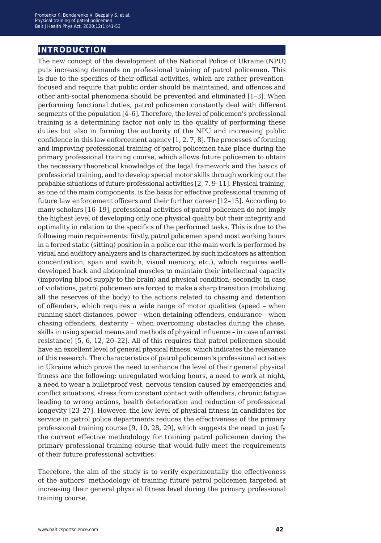## **introduction**

The new concept of the development of the National Police of Ukraine (NPU) puts increasing demands on professional training of patrol policemen. This is due to the specifics of their official activities, which are rather preventionfocused and require that public order should be maintained, and offences and other anti-social phenomena should be prevented and eliminated [1–3]. When performing functional duties, patrol policemen constantly deal with different segments of the population [4–6]. Therefore, the level of policemen's professional training is a determining factor not only in the quality of performing these duties but also in forming the authority of the NPU and increasing public confidence in this law enforcement agency [1, 2, 7, 8]. The processes of forming and improving professional training of patrol policemen take place during the primary professional training course, which allows future policemen to obtain the necessary theoretical knowledge of the legal framework and the basics of professional training, and to develop special motor skills through working out the probable situations of future professional activities [2, 7, 9–11]. Physical training, as one of the main components, is the basis for effective professional training of future law enforcement officers and their further career [12–15]. According to many scholars [16–19], professional activities of patrol policemen do not imply the highest level of developing only one physical quality but their integrity and optimality in relation to the specifics of the performed tasks. This is due to the following main requirements: firstly, patrol policemen spend most working hours in a forced static (sitting) position in a police car (the main work is performed by visual and auditory analyzers and is characterized by such indicators as attention concentration, span and switch, visual memory, etc.), which requires welldeveloped back and abdominal muscles to maintain their intellectual capacity (improving blood supply to the brain) and physical condition; secondly, in case of violations, patrol policemen are forced to make a sharp transition (mobilizing all the reserves of the body) to the actions related to chasing and detention of offenders, which requires a wide range of motor qualities (speed – when running short distances, power – when detaining offenders, endurance – when chasing offenders, dexterity – when overcoming obstacles during the chase, skills in using special means and methods of physical influence – in case of arrest resistance) [5, 6, 12, 20–22]. All of this requires that patrol policemen should have an excellent level of general physical fitness, which indicates the relevance of this research. The characteristics of patrol policemen's professional activities in Ukraine which prove the need to enhance the level of their general physical fitness are the following: unregulated working hours, a need to work at night, a need to wear a bulletproof vest, nervous tension caused by emergencies and conflict situations, stress from constant contact with offenders, chronic fatigue leading to wrong actions, health deterioration and reduction of professional longevity [23–27]. However, the low level of physical fitness in candidates for service in patrol police departments reduces the effectiveness of the primary professional training course [9, 10, 28, 29], which suggests the need to justify the current effective methodology for training patrol policemen during the primary professional training course that would fully meet the requirements of their future professional activities.

Therefore, the aim of the study is to verify experimentally the effectiveness of the authors' methodology of training future patrol policemen targeted at increasing their general physical fitness level during the primary professional training course.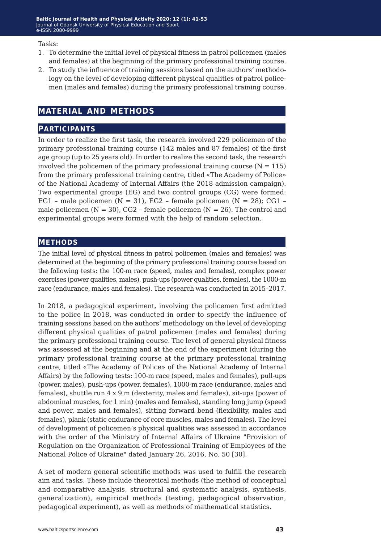Tasks:

- 1. To determine the initial level of physical fitness in patrol policemen (males and females) at the beginning of the primary professional training course.
- 2. To study the influence of training sessions based on the authors' methodology on the level of developing different physical qualities of patrol policemen (males and females) during the primary professional training course.

## **material and methods**

### **participants**

In order to realize the first task, the research involved 229 policemen of the primary professional training course (142 males and 87 females) of the first age group (up to 25 years old). In order to realize the second task, the research involved the policemen of the primary professional training course  $(N = 115)$ from the primary professional training centre, titled «The Academy of Police» of the National Academy of Internal Affairs (the 2018 admission campaign). Two experimental groups (EG) and two control groups (CG) were formed: EG1 - male policemen ( $N = 31$ ), EG2 - female policemen ( $N = 28$ ); CG1 male policemen  $(N = 30)$ , CG2 – female policemen  $(N = 26)$ . The control and experimental groups were formed with the help of random selection.

## **methods**

The initial level of physical fitness in patrol policemen (males and females) was determined at the beginning of the primary professional training course based on the following tests: the 100-m race (speed, males and females), complex power exercises (power qualities, males), push-ups (power qualities, females), the 1000-m race (endurance, males and females). The research was conducted in 2015–2017.

In 2018, a pedagogical experiment, involving the policemen first admitted to the police in 2018, was conducted in order to specify the influence of training sessions based on the authors' methodology on the level of developing different physical qualities of patrol policemen (males and females) during the primary professional training course. The level of general physical fitness was assessed at the beginning and at the end of the experiment (during the primary professional training course at the primary professional training centre, titled «The Academy of Police» of the National Academy of Internal Affairs) by the following tests: 100-m race (speed, males and females), pull-ups (power, males), push-ups (power, females), 1000-m race (endurance, males and females), shuttle run 4 х 9 m (dexterity, males and females), sit-ups (power of abdominal muscles, for 1 min) (males and females), standing long jump (speed and power, males and females), sitting forward bend (flexibility, males and females), plank (static endurance of core muscles, males and females). The level of development of policemen's physical qualities was assessed in accordance with the order of the Ministry of Internal Affairs of Ukraine "Provision of Regulation on the Organization of Professional Training of Employees of the National Police of Ukraine" dated January 26, 2016, No. 50 [30].

A set of modern general scientific methods was used to fulfill the research aim and tasks. These include theoretical methods (the method of conceptual and comparative analysis, structural and systematic analysis, synthesis, generalization), empirical methods (testing, pedagogical observation, pedagogical experiment), as well as methods of mathematical statistics.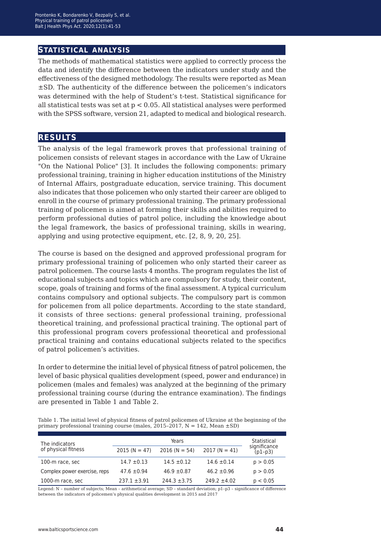## **statistical analysis**

The methods of mathematical statistics were applied to correctly process the data and identify the difference between the indicators under study and the effectiveness of the designed methodology. The results were reported as Mean ±SD. The authenticity of the difference between the policemen's indicators was determined with the help of Student's t-test. Statistical significance for all statistical tests was set at  $p < 0.05$ . All statistical analyses were performed with the SPSS software, version 21, adapted to medical and biological research.

## **results**

The analysis of the legal framework proves that professional training of policemen consists of relevant stages in accordance with the Law of Ukraine "On the National Police" [3]. It includes the following components: primary professional training, training in higher education institutions of the Ministry of Internal Affairs, postgraduate education, service training. This document also indicates that those policemen who only started their career are obliged to enroll in the course of primary professional training. The primary professional training of policemen is aimed at forming their skills and abilities required to perform professional duties of patrol police, including the knowledge about the legal framework, the basics of professional training, skills in wearing, applying and using protective equipment, etc. [2, 8, 9, 20, 25].

The course is based on the designed and approved professional program for primary professional training of policemen who only started their career as patrol policemen. The course lasts 4 months. The program regulates the list of educational subjects and topics which are compulsory for study, their content, scope, goals of training and forms of the final assessment. A typical curriculum contains compulsory and optional subjects. The compulsory part is common for policemen from all police departments. According to the state standard, it consists of three sections: general professional training, professional theoretical training, and professional practical training. The optional part of this professional program covers professional theoretical and professional practical training and contains educational subjects related to the specifics of patrol policemen's activities.

In order to determine the initial level of physical fitness of patrol policemen, the level of basic physical qualities development (speed, power and endurance) in policemen (males and females) was analyzed at the beginning of the primary professional training course (during the entrance examination). The findings are presented in Table 1 and Table 2.

Table 1. The initial level of physical fitness of patrol policemen of Ukraine at the beginning of the primary professional training course (males,  $2015-2017$ , N = 142, Mean  $\pm$ SD)

| The indicators               |                  | Statistical      |                  |                           |
|------------------------------|------------------|------------------|------------------|---------------------------|
| of physical fitness          | $2015 (N = 47)$  | $2016 (N = 54)$  | $2017 (N = 41)$  | significance<br>$(p1-p3)$ |
| 100-m race, sec              | $14.7 \pm 0.13$  | $14.5 \pm 0.12$  | $14.6 \pm 0.14$  | p > 0.05                  |
| Complex power exercise, reps | $47.6 \pm 0.94$  | $46.9 \pm 0.87$  | $46.2 \pm 0.96$  | p > 0.05                  |
| 1000-m race, sec             | $237.1 \pm 3.91$ | $244.3 \pm 3.75$ | $249.2 \pm 4.02$ | p < 0.05                  |

Legend: N – number of subjects; Mean – arithmetical average; SD – standard deviation; р1–p3 – significance of difference between the indicators of policemen's physical qualities development in 2015 and 2017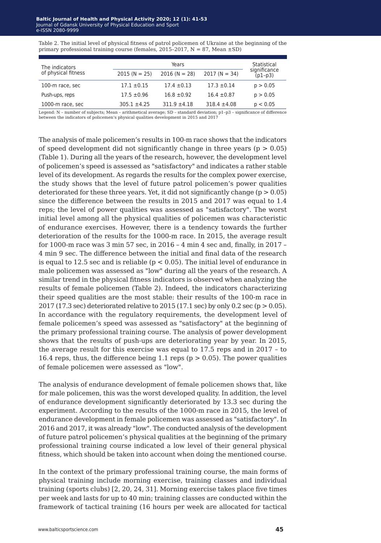Table 2. The initial level of physical fitness of patrol policemen of Ukraine at the beginning of the primary professional training course (females, 2015-2017,  $N = 87$ , Mean  $\pm$ SD)

| The indicators      |                  | Statistical     |                  |                           |
|---------------------|------------------|-----------------|------------------|---------------------------|
| of physical fitness | $2015 (N = 25)$  | $2016 (N = 28)$ | $2017(N = 34)$   | significance<br>$(p1-p3)$ |
| 100-m race, sec     | $17.1 \pm 0.15$  | $17.4 \pm 0.13$ | $17.3 \pm 0.14$  | p > 0.05                  |
| Push-ups, reps      | $17.5 \pm 0.96$  | $16.8 \pm 0.92$ | $16.4 \pm 0.87$  | p > 0.05                  |
| 1000-m race, sec    | $305.1 \pm 4.25$ | $311.9 + 4.18$  | $318.4 \pm 4.08$ | p < 0.05                  |
|                     |                  |                 |                  |                           |

Legend: N – number of subjects; Mean – arithmetical average; SD – standard deviation; р1–p3 – significance of difference between the indicators of policemen's physical qualities development in 2015 and 2017

The analysis of male policemen's results in 100-m race shows that the indicators of speed development did not significantly change in three years ( $p > 0.05$ ) (Table 1). During all the years of the research, however, the development level of policemen's speed is assessed as "satisfactory" and indicates a rather stable level of its development. As regards the results for the complex power exercise, the study shows that the level of future patrol policemen's power qualities deteriorated for these three years. Yet, it did not significantly change  $(p > 0.05)$ since the difference between the results in 2015 and 2017 was equal to 1.4 reps; the level of power qualities was assessed as "satisfactory". The worst initial level among all the physical qualities of policemen was characteristic of endurance exercises. However, there is a tendency towards the further deterioration of the results for the 1000-m race. In 2015, the average result for 1000-m race was 3 min 57 sec, in 2016 – 4 min 4 sec and, finally, in 2017 – 4 min 9 sec. The difference between the initial and final data of the research is equal to 12.5 sec and is reliable ( $p < 0.05$ ). The initial level of endurance in male policemen was assessed as "low" during all the years of the research. A similar trend in the physical fitness indicators is observed when analyzing the results of female policemen (Table 2). Indeed, the indicators characterizing their speed qualities are the most stable: their results of the 100-m race in 2017 (17.3 sec) deteriorated relative to 2015 (17.1 sec) by only 0.2 sec ( $p > 0.05$ ). In accordance with the regulatory requirements, the development level of female policemen's speed was assessed as "satisfactory" at the beginning of the primary professional training course. The analysis of power development shows that the results of push-ups are deteriorating year by year. In 2015, the average result for this exercise was equal to 17.5 reps and in 2017 – to 16.4 reps, thus, the difference being 1.1 reps ( $p > 0.05$ ). The power qualities of female policemen were assessed as "low".

The analysis of endurance development of female policemen shows that, like for male policemen, this was the worst developed quality. In addition, the level of endurance development significantly deteriorated by 13.3 sec during the experiment. According to the results of the 1000-m race in 2015, the level of endurance development in female policemen was assessed as "satisfactory". In 2016 and 2017, it was already "low". The conducted analysis of the development of future patrol policemen's physical qualities at the beginning of the primary professional training course indicated a low level of their general physical fitness, which should be taken into account when doing the mentioned course.

In the context of the primary professional training course, the main forms of physical training include morning exercise, training classes and individual training (sports clubs) [2, 20, 24, 31]. Morning exercise takes place five times per week and lasts for up to 40 min; training classes are conducted within the framework of tactical training (16 hours per week are allocated for tactical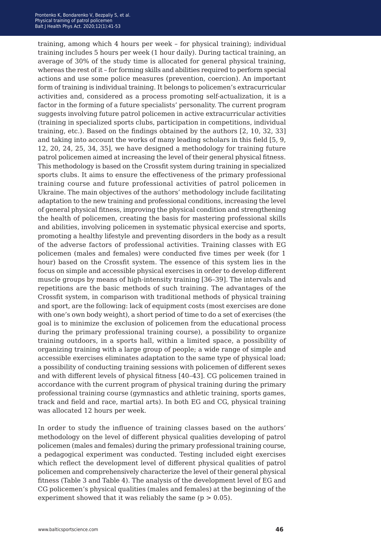training, among which 4 hours per week – for physical training); individual training includes 5 hours per week (1 hour daily). During tactical training, an average of 30% of the study time is allocated for general physical training, whereas the rest of it – for forming skills and abilities required to perform special actions and use some police measures (prevention, coercion). An important form of training is individual training. It belongs to policemen's extracurricular activities and, considered as a process promoting self-actualization, it is a factor in the forming of a future specialists' personality. The current program suggests involving future patrol policemen in active extracurricular activities (training in specialized sports clubs, participation in competitions, individual training, etc.). Based on the findings obtained by the authors [2, 10, 32, 33] and taking into account the works of many leading scholars in this field [5, 9, 12, 20, 24, 25, 34, 35], we have designed a methodology for training future patrol policemen aimed at increasing the level of their general physical fitness. This methodology is based on the Crossfit system during training in specialized sports clubs. It aims to ensure the effectiveness of the primary professional training course and future professional activities of patrol policemen in Ukraine. The main objectives of the authors' methodology include facilitating adaptation to the new training and professional conditions, increasing the level of general physical fitness, improving the physical condition and strengthening the health of policemen, creating the basis for mastering professional skills and abilities, involving policemen in systematic physical exercise and sports, promoting a healthy lifestyle and preventing disorders in the body as a result of the adverse factors of professional activities. Training classes with EG policemen (males and females) were conducted five times per week (for 1 hour) based on the Crossfit system. The essence of this system lies in the focus on simple and accessible physical exercises in order to develop different muscle groups by means of high-intensity training [36–39]. The intervals and repetitions are the basic methods of such training. The advantages of the Crossfit system, in comparison with traditional methods of physical training and sport, are the following: lack of equipment costs (most exercises are done with one's own body weight), a short period of time to do a set of exercises (the goal is to minimize the exclusion of policemen from the educational process during the primary professional training course), a possibility to organize training outdoors, in a sports hall, within a limited space, a possibility of organizing training with a large group of people; a wide range of simple and accessible exercises eliminates adaptation to the same type of physical load; a possibility of conducting training sessions with policemen of different sexes and with different levels of physical fitness [40–43]. CG policemen trained in accordance with the current program of physical training during the primary professional training course (gymnastics and athletic training, sports games, track and field and race, martial arts). In both EG and CG, physical training was allocated 12 hours per week.

In order to study the influence of training classes based on the authors' methodology on the level of different physical qualities developing of patrol policemen (males and females) during the primary professional training course, a pedagogical experiment was conducted. Testing included eight exercises which reflect the development level of different physical qualities of patrol policemen and comprehensively characterize the level of their general physical fitness (Table 3 and Table 4). The analysis of the development level of EG and CG policemen's physical qualities (males and females) at the beginning of the experiment showed that it was reliably the same  $(p > 0.05)$ .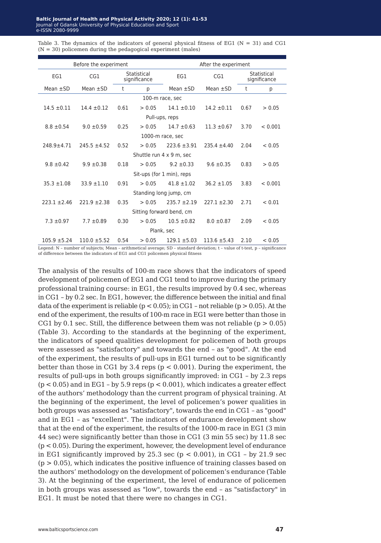| Before the experiment    |                           |                             | After the experiment     |                  |                  |      |                             |
|--------------------------|---------------------------|-----------------------------|--------------------------|------------------|------------------|------|-----------------------------|
| EG1                      | CG1                       | Statistical<br>significance |                          | EG1              | CG1              |      | Statistical<br>significance |
| Mean $\pm$ SD            | Mean $\pm$ SD             | t                           | p                        | Mean $\pm$ SD    | Mean $\pm$ SD    | t    | р                           |
|                          |                           |                             | 100-m race, sec          |                  |                  |      |                             |
| $14.5 \pm 0.11$          | $14.4 \pm 0.12$           | 0.61                        | > 0.05                   | $14.1 \pm 0.10$  | $14.2 \pm 0.11$  | 0.67 | > 0.05                      |
|                          |                           |                             | Pull-ups, reps           |                  |                  |      |                             |
| $8.8 \pm 0.54$           | $9.0 \pm 0.59$            | 0.25                        | > 0.05                   | $14.7 \pm 0.63$  | $11.3 \pm 0.67$  | 3.70 | < 0.001                     |
|                          |                           |                             | 1000-m race, sec         |                  |                  |      |                             |
| $248.9 + 4.71$           | $245.5 \pm 4.52$          | 0.52                        | > 0.05                   | $223.6 \pm 3.91$ | $235.4 \pm 4.40$ | 2.04 | < 0.05                      |
|                          |                           |                             | Shuttle run 4 x 9 m, sec |                  |                  |      |                             |
| $9.8 \pm 0.42$           | $9.9 \pm 0.38$            | 0.18                        | > 0.05                   | $9.2 \pm 0.33$   | $9.6 \pm 0.35$   | 0.83 | > 0.05                      |
|                          | Sit-ups (for 1 min), reps |                             |                          |                  |                  |      |                             |
| $35.3 \pm 1.08$          | $33.9 \pm 1.10$           | 0.91                        | > 0.05                   | $41.8 + 1.02$    | $36.2 \pm 1.05$  | 3.83 | < 0.001                     |
| Standing long jump, cm   |                           |                             |                          |                  |                  |      |                             |
| $223.1 + 2.46$           | $221.9 \pm 2.38$          | 0.35                        | > 0.05                   | $235.7 + 2.19$   | $227.1 \pm 2.30$ | 2.71 | < 0.01                      |
| Sitting forward bend, cm |                           |                             |                          |                  |                  |      |                             |
| $7.3 \pm 0.97$           | $7.7 \pm 0.89$            | 0.30                        | > 0.05                   | $10.5 \pm 0.82$  | $8.0 \pm 0.87$   | 2.09 | < 0.05                      |
| Plank, sec               |                           |                             |                          |                  |                  |      |                             |
| $105.9 \pm 5.24$         | $110.0 \pm 5.52$          | 0.54                        | > 0.05                   | $129.1 \pm 5.03$ | $113.6 \pm 5.43$ | 2.10 | < 0.05                      |

Table 3. The dynamics of the indicators of general physical fitness of EG1 ( $N = 31$ ) and CG1  $(N = 30)$  policemen during the pedagogical experiment (males)

Legend: N – number of subjects; Mean – arithmetical average; SD – standard deviation; t – value of t-test, p – significance of difference between the indicators of EG1 and CG1 policemen physical fitness

The analysis of the results of 100-m race shows that the indicators of speed development of policemen of EG1 and CG1 tend to improve during the primary professional training course: in EG1, the results improved by 0.4 sec, whereas in CG1 – by 0.2 sec. In EG1, however, the difference between the initial and final data of the experiment is reliable ( $p < 0.05$ ); in CG1 – not reliable ( $p > 0.05$ ). At the end of the experiment, the results of 100-m race in EG1 were better than those in CG1 by 0.1 sec. Still, the difference between them was not reliable ( $p > 0.05$ ) (Table 3). According to the standards at the beginning of the experiment, the indicators of speed qualities development for policemen of both groups were assessed as "satisfactory" and towards the end – as "good". At the end of the experiment, the results of pull-ups in EG1 turned out to be significantly better than those in CG1 by 3.4 reps ( $p < 0.001$ ). During the experiment, the results of pull-ups in both groups significantly improved: in CG1 – by 2.3 reps  $(p < 0.05)$  and in EG1 – by 5.9 reps  $(p < 0.001)$ , which indicates a greater effect of the authors' methodology than the current program of physical training. At the beginning of the experiment, the level of policemen's power qualities in both groups was assessed as "satisfactory", towards the end in CG1 – as "good" and in EG1 – as "excellent". The indicators of endurance development show that at the end of the experiment, the results of the 1000-m race in EG1 (3 min 44 sec) were significantly better than those in CG1 (3 min 55 sec) by 11.8 sec (p < 0.05). During the experiment, however, the development level of endurance in EG1 significantly improved by 25.3 sec ( $p < 0.001$ ), in CG1 - by 21.9 sec  $(p > 0.05)$ , which indicates the positive influence of training classes based on the authors' methodology on the development of policemen's endurance (Table 3). At the beginning of the experiment, the level of endurance of policemen in both groups was assessed as "low", towards the end – as "satisfactory" in EG1. It must be noted that there were no changes in CG1.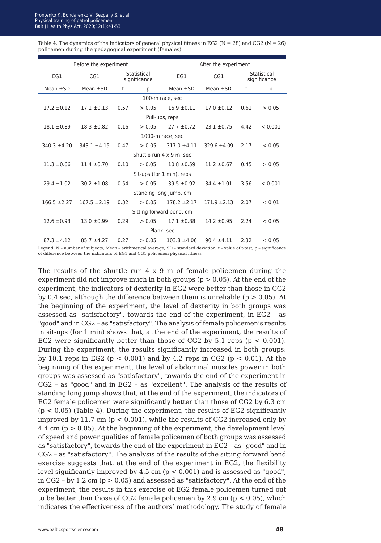| Table 4. The dynamics of the indicators of general physical fitness in EG2 ( $N = 28$ ) and CG2 ( $N = 26$ ) |
|--------------------------------------------------------------------------------------------------------------|
| policemen during the pedagogical experiment (females)                                                        |

| Before the experiment     |                 |                             |        | After the experiment |                  |      |                             |
|---------------------------|-----------------|-----------------------------|--------|----------------------|------------------|------|-----------------------------|
| EG1                       | CG1             | Statistical<br>significance |        | EG1                  | CG1              |      | Statistical<br>significance |
| Mean $\pm$ SD             | Mean $\pm$ SD   | t                           | p      | Mean $\pm$ SD        | Mean $\pm$ SD    | t    | p                           |
|                           |                 |                             |        | 100-m race, sec      |                  |      |                             |
| $17.2 + 0.12$             | $17.1 \pm 0.13$ | 0.57                        | > 0.05 | $16.9 + 0.11$        | $17.0 \pm 0.12$  | 0.61 | > 0.05                      |
|                           |                 |                             |        | Pull-ups, reps       |                  |      |                             |
| $18.1 \pm 0.89$           | $18.3 \pm 0.82$ | 0.16                        | > 0.05 | $27.7 \pm 0.72$      | $23.1 \pm 0.75$  | 4.42 | < 0.001                     |
|                           |                 |                             |        | 1000-m race, sec     |                  |      |                             |
| $340.3 \pm 4.20$          | $343.1 + 4.15$  | 0.47                        | > 0.05 | $317.0 \pm 4.11$     | $329.6 \pm 4.09$ | 2.17 | < 0.05                      |
| Shuttle run 4 x 9 m, sec  |                 |                             |        |                      |                  |      |                             |
| $11.3 \pm 0.66$           | $11.4 + 0.70$   | 0.10                        | > 0.05 | $10.8 + 0.59$        | $11.2 \pm 0.67$  | 0.45 | > 0.05                      |
| Sit-ups (for 1 min), reps |                 |                             |        |                      |                  |      |                             |
| $29.4 + 1.02$             | $30.2 \pm 1.08$ | 0.54                        | > 0.05 | $39.5 + 0.92$        | $34.4 \pm 1.01$  | 3.56 | < 0.001                     |
| Standing long jump, cm    |                 |                             |        |                      |                  |      |                             |
| $166.5 \pm 2.27$          | $167.5 + 2.19$  | 0.32                        | > 0.05 | $178.2 + 2.17$       | $171.9 \pm 2.13$ | 2.07 | < 0.01                      |
| Sitting forward bend, cm  |                 |                             |        |                      |                  |      |                             |
| $12.6 \pm 0.93$           | $13.0 \pm 0.99$ | 0.29                        | > 0.05 | $17.1 \pm 0.88$      | $14.2 \pm 0.95$  | 2.24 | < 0.05                      |
| Plank, sec                |                 |                             |        |                      |                  |      |                             |
| $87.3 \pm 4.12$           | $85.7 + 4.27$   | 0.27                        | > 0.05 | $103.8 \pm 4.06$     | $90.4 \pm 4.11$  | 2.32 | < 0.05                      |

Legend: N – number of subjects; Mean – arithmetical average; SD – standard deviation; t – value of t-test, p – significance of difference between the indicators of EG1 and CG1 policemen physical fitness

The results of the shuttle run 4 x 9 m of female policemen during the experiment did not improve much in both groups ( $p > 0.05$ ). At the end of the experiment, the indicators of dexterity in EG2 were better than those in CG2 by 0.4 sec, although the difference between them is unreliable ( $p > 0.05$ ). At the beginning of the experiment, the level of dexterity in both groups was assessed as "satisfactory", towards the end of the experiment, in EG2 – as "good" and in CG2 – as "satisfactory". The analysis of female policemen's results in sit-ups (for 1 min) shows that, at the end of the experiment, the results of EG2 were significantly better than those of CG2 by 5.1 reps ( $p < 0.001$ ). During the experiment, the results significantly increased in both groups: by 10.1 reps in EG2 ( $p < 0.001$ ) and by 4.2 reps in CG2 ( $p < 0.01$ ). At the beginning of the experiment, the level of abdominal muscles power in both groups was assessed as "satisfactory", towards the end of the experiment in CG2 – as "good" and in EG2 – as "excellent". The analysis of the results of standing long jump shows that, at the end of the experiment, the indicators of EG2 female policemen were significantly better than those of CG2 by 6.3 cm  $(p < 0.05)$  (Table 4). During the experiment, the results of EG2 significantly improved by 11.7 cm  $(p < 0.001)$ , while the results of CG2 increased only by 4.4 cm (p > 0.05). At the beginning of the experiment, the development level of speed and power qualities of female policemen of both groups was assessed as "satisfactory", towards the end of the experiment in EG2 – as "good" and in CG2 – as "satisfactory". The analysis of the results of the sitting forward bend exercise suggests that, at the end of the experiment in EG2, the flexibility level significantly improved by 4.5 cm (p < 0.001) and is assessed as "good", in CG2 - by 1.2 cm  $(p > 0.05)$  and assessed as "satisfactory". At the end of the experiment, the results in this exercise of EG2 female policemen turned out to be better than those of CG2 female policemen by 2.9 cm ( $p < 0.05$ ), which indicates the effectiveness of the authors' methodology. The study of female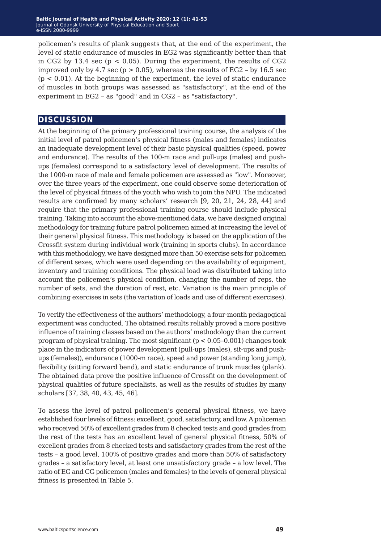policemen's results of plank suggests that, at the end of the experiment, the level of static endurance of muscles in EG2 was significantly better than that in CG2 by 13.4 sec ( $p < 0.05$ ). During the experiment, the results of CG2 improved only by 4.7 sec ( $p > 0.05$ ), whereas the results of EG2 - by 16.5 sec  $(p < 0.01)$ . At the beginning of the experiment, the level of static endurance of muscles in both groups was assessed as "satisfactory", at the end of the experiment in EG2 – as "good" and in CG2 – as "satisfactory".

## **discussion**

At the beginning of the primary professional training course, the analysis of the initial level of patrol policemen's physical fitness (males and females) indicates an inadequate development level of their basic physical qualities (speed, power and endurance). The results of the 100-m race and pull-ups (males) and pushups (females) correspond to a satisfactory level of development. The results of the 1000-m race of male and female policemen are assessed as "low". Moreover, over the three years of the experiment, one could observe some deterioration of the level of physical fitness of the youth who wish to join the NPU. The indicated results are confirmed by many scholars' research [9, 20, 21, 24, 28, 44] and require that the primary professional training course should include physical training. Taking into account the above-mentioned data, we have designed original methodology for training future patrol policemen aimed at increasing the level of their general physical fitness. This methodology is based on the application of the Crossfit system during individual work (training in sports clubs). In accordance with this methodology, we have designed more than 50 exercise sets for policemen of different sexes, which were used depending on the availability of equipment, inventory and training conditions. The physical load was distributed taking into account the policemen's physical condition, changing the number of reps, the number of sets, and the duration of rest, etc. Variation is the main principle of combining exercises in sets (the variation of loads and use of different exercises).

To verify the effectiveness of the authors' methodology, a four-month pedagogical experiment was conducted. The obtained results reliably proved a more positive influence of training classes based on the authors' methodology than the current program of physical training. The most significant (p < 0.05–0.001) changes took place in the indicators of power development (pull-ups (males), sit-ups and pushups (females)), endurance (1000-m race), speed and power (standing long jump), flexibility (sitting forward bend), and static endurance of trunk muscles (plank). The obtained data prove the positive influence of Crossfit on the development of physical qualities of future specialists, as well as the results of studies by many scholars [37, 38, 40, 43, 45, 46].

To assess the level of patrol policemen's general physical fitness, we have established four levels of fitness: excellent, good, satisfactory, and low. A policeman who received 50% of excellent grades from 8 checked tests and good grades from the rest of the tests has an excellent level of general physical fitness, 50% of excellent grades from 8 checked tests and satisfactory grades from the rest of the tests – a good level, 100% of positive grades and more than 50% of satisfactory grades – a satisfactory level, at least one unsatisfactory grade – a low level. The ratio of EG and CG policemen (males and females) to the levels of general physical fitness is presented in Table 5.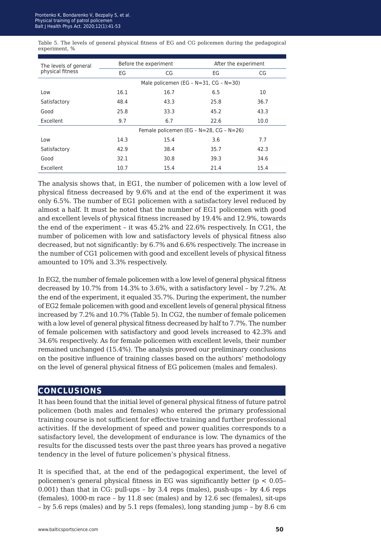Table 5. The levels of general physical fitness of EG and CG policemen during the pedagogical experiment, %

| The levels of general |                                               | Before the experiment | After the experiment |      |  |
|-----------------------|-----------------------------------------------|-----------------------|----------------------|------|--|
| physical fitness      | EG                                            | CG                    | EG                   | CG   |  |
|                       | Male policemen (EG - $N=31$ , CG - $N=30$ )   |                       |                      |      |  |
| Low                   | 16.1                                          | 16.7                  | 6.5                  | 10   |  |
| Satisfactory          | 48.4                                          | 43.3                  | 25.8                 | 36.7 |  |
| Good                  | 25.8                                          | 33.3                  | 45.2                 | 43.3 |  |
| Excellent             | 9.7                                           | 6.7                   | 22.6                 | 10.0 |  |
|                       | Female policemen (EG - $N=28$ , CG - $N=26$ ) |                       |                      |      |  |
| Low                   | 14.3                                          | 15.4                  | 3.6                  | 7.7  |  |
| Satisfactory          | 42.9                                          | 38.4                  | 35.7                 | 42.3 |  |
| Good                  | 32.1                                          | 30.8                  | 39.3                 | 34.6 |  |
| Excellent             | 10.7                                          | 15.4                  | 21.4                 | 15.4 |  |

The analysis shows that, in EG1, the number of policemen with a low level of physical fitness decreased by 9.6% and at the end of the experiment it was only 6.5%. The number of EG1 policemen with a satisfactory level reduced by almost a half. It must be noted that the number of EG1 policemen with good and excellent levels of physical fitness increased by 19.4% and 12.9%, towards the end of the experiment – it was 45.2% and 22.6% respectively. In CG1, the number of policemen with low and satisfactory levels of physical fitness also decreased, but not significantly: by 6.7% and 6.6% respectively. The increase in the number of CG1 policemen with good and excellent levels of physical fitness amounted to 10% and 3.3% respectively.

In EG2, the number of female policemen with a low level of general physical fitness decreased by 10.7% from 14.3% to 3.6%, with a satisfactory level – by 7.2%. At the end of the experiment, it equaled 35.7%. During the experiment, the number of ЕG2 female policemen with good and excellent levels of general physical fitness increased by 7.2% and 10.7% (Table 5). In CG2, the number of female policemen with a low level of general physical fitness decreased by half to 7.7%. The number of female policemen with satisfactory and good levels increased to 42.3% and 34.6% respectively. As for female policemen with excellent levels, their number remained unchanged (15.4%). The analysis proved our preliminary conclusions on the positive influence of training classes based on the authors' methodology on the level of general physical fitness of EG policemen (males and females).

## **conclusions**

It has been found that the initial level of general physical fitness of future patrol policemen (both males and females) who entered the primary professional training course is not sufficient for effective training and further professional activities. If the development of speed and power qualities corresponds to a satisfactory level, the development of endurance is low. The dynamics of the results for the discussed tests over the past three years has proved a negative tendency in the level of future policemen's physical fitness.

It is specified that, at the end of the pedagogical experiment, the level of policemen's general physical fitness in EG was significantly better ( $p < 0.05$ -0.001) than that in CG: pull-ups – by 3.4 reps (males), push-ups – by 4.6 reps (females), 1000-m race – by 11.8 sec (males) and by 12.6 sec (females), sit-ups – by 5.6 reps (males) and by 5.1 reps (females), long standing jump – by 8.6 cm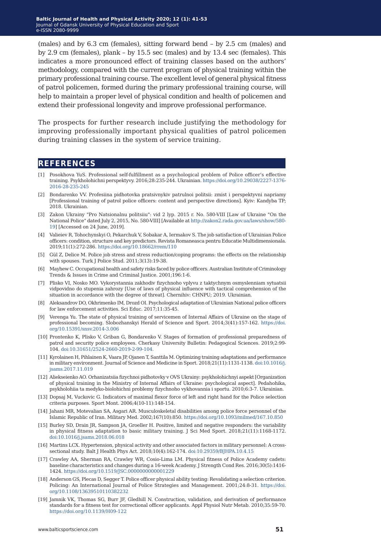(males) and by 6.3 cm (females), sitting forward bend – by 2.5 cm (males) and by 2.9 cm (females), plank – by 15.5 sec (males) and by 13.4 sec (females). This indicates a more pronounced effect of training classes based on the authors' methodology, compared with the current program of physical training within the primary professional training course. The excellent level of general physical fitness of patrol policemen, formed during the primary professional training course, will help to maintain a proper level of physical condition and health of policemen and extend their professional longevity and improve professional performance.

The prospects for further research include justifying the methodology for improving professionally important physical qualities of patrol policemen during training classes in the system of service training.

#### **references**

- [1] Posokhova YuS. Professional self-fulfillment as a psychological problem of Police officer's effective training. Psykholohichni perspektyvy. 2016;28:235-244. Ukrainian. [https://doi.org/10.29038/2227-1376-](https://doi.org/10.29038/2227-1376-2016-28-235-245
) [2016-28-235-245](https://doi.org/10.29038/2227-1376-2016-28-235-245
)
- [2] Bondarenko VV. Profesiina pidhotovka pratsivnykiv patrulnoi politsii: zmist i perspektyvni napriamy [Professional training of patrol police officers: content and perspective directions]. Kyiv: Kandyba TP; 2018. Ukrainian.
- [3] Zakon Ukrainy "Pro Natsionalnu politsiiu": vid 2 lyp. 2015 r. No. 580-VIII [Law of Ukraine "On the National Police" dated July 2, 2015, No. 580-VIII] [Available at [http://zakon2.rada.gov.ua/laws/show/580-](http://zakon2.rada.gov.ua/laws/show/580-19) [19](http://zakon2.rada.gov.ua/laws/show/580-19)] [Accessed on 24 June, 2019].
- [4] Valieiev R, Tohochynskyi O, Pekarchuk V, Sobakar A, Iermakov S. The job satisfaction of Ukrainian Police officers: condition, structure and key predictors. Revista Romaneasca pentru Educatie Multidimensionala. 2019;11(1):272-286. [https://doi.org/10.18662/rrem/110](https://doi.org/10.18662/rrem/110
)
- [5] Gül Z, Delice M. Police job stress and stress reduction/coping programs: the effects on the relationship with spouses. Turk J Police Stud. 2011;3(13):19-38.
- [6] Mayhew C. Occupational health and safety risks faced by police officers. Australian Institute of Criminology Trends & Issues in Crime and Criminal Justice. 2001;196:1-6.
- [7] Plisko VI, Nosko MO. Vykorystannia zakhodiv fizychnoho vplyvu z taktychnym osmyslenniam sytuatsii vidpovidno do stupenia zahrozy [Use of laws of physical influence with tactical comprehension of the situation in accordance with the degree of threat]. Chernihiv: CHNPU; 2019. Ukrainian.
- [8] Aleksandrov DO, Okhrimenko IM, Drozd OI. Psychological adaptation of Ukrainian National police officers for law enforcement activities. Sci Educ. 2017;11:35-45.
- [9] Verenga Yu. The state of physical training of servicemen of Internal Affairs of Ukraine on the stage of professional becoming. Slobozhanskyi Herald of Science and Sport. 2014;3(41):157-162. [https://doi.](https://doi.org/10.15391/snsv.2014-3.006) [org/10.15391/snsv.2014-3.006](https://doi.org/10.15391/snsv.2014-3.006)
- [10] Prontenko K, Plisko V, Griban G, Bondarenko V. Stages of formation of professional preparedness of patrol and security police employees. Cherkasy University Bulletin: Pedagogical Sciences. 2019;2:99- 104. <doi:10.31651/2524-2660-2019-2-99-104.>
- [11] Kyrolainen H, Pihlainen K, Vaara JP, Ojanen T, Santtila M. Optimizing training adaptations and performance in military environment. Journal of Science and Medicine in Sport. 2018;21(11):1131-1138. [doi:10.1016/j.](doi:10.1016/j.jsams.2017.11.019
) [jsams.2017.11.019](doi:10.1016/j.jsams.2017.11.019
)
- [12] Aliekseienko AO. Orhanizatsiia fizychnoi pidhotovky v OVS Ukrainy: psykholohichnyi aspekt [Organization of physical training in the Ministry of Internal Affairs of Ukraine: psychological aspect]. Pedahohika, psykholohiia ta medyko-biolohichni problemy fizychnoho vykhovannia i sportu. 2010;6:3-7. Ukrainian.
- [13] Dopsaj M, Vuckovic G. Indicators of maximal flexor force of left and right hand for the Police selection criteria purposes. Sport Mont. 2006;4(10-11):148-154.
- [14] Jahani MR, Motevalian SA, Asgari AR. Musculoskeletal disabilities among police force personnel of the Islamic Republic of Iran. Military Med. 2002;167(10):850. <https://doi.org/10.1093/milmed/167.10.850>
- [15] Burley SD, Drain JR, Sampson JA, Groeller H. Positive, limited and negative responders: the variability in physical fitness adaptation to basic military training. J Sci Med Sport. 2018;21(11):1168-1172. <doi:10.1016/j.jsams.2018.06.018>
- [16] Martins LCX. Hypertension, physical activity and other associated factors in military personnel: A crosssectional study. Balt J Health Phys Act. 2018;10(4):162-174.<doi:10.29359/BJHPA.10.4.15>
- [17] Crawley AA, Sherman RA, Crawley WR, Cosio-Lima LM. Physical fitness of Police Academy cadets: baseline characteristics and changes during a 16-week Academy. J Strength Cond Res. 2016;30(5):1416- 1424.<https://doi.org/10.1519/JSC.0000000000001229>
- [18] Anderson GS, Plecas D, Segger T. Police officer physical ability testing: Revalidating a selection criterion. Policing: An International Journal of Police Strategies and Management. 2001;24:8-31. [https://doi.](https://doi.org/10.1108/13639510110382232) [org/10.1108/13639510110382232](https://doi.org/10.1108/13639510110382232)
- [19] Jamnik VK, Thomas SG, Burr JF, Gledhill N. Construction, validation, and derivation of performance standards for a fitness test for correctional officer applicants. Appl Physiol Nutr Metab. 2010;35:59-70. <https://doi.org/10.1139/H09-122>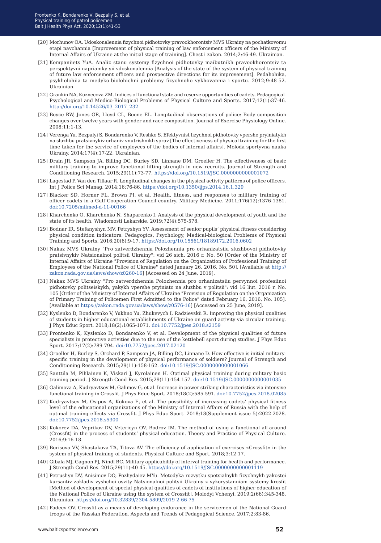- [20] Morhunov OA. Udoskonalennia fizychnoi pidhotovky pravookhorontsiv MVS Ukrainy na pochatkovomu etapi navchannia [Improvement of physical training of law enforcement officers of the Ministry of Internal Affairs of Ukraine at the initial stage of training]. Chest i zakon. 2014;2:46-49. Ukrainian.
- [21] Kompaniiets YuA. Analiz stanu systemy fizychnoi pidhotovky maibutnikh pravookhorontsiv ta perspektyvni napriamky yii vdoskonalennia [Analysis of the state of the system of physical training of future law enforcement officers and prospective directions for its improvement]. Pedahohika, psykholohiia ta medyko-biolohichni problemy fizychnoho vykhovannia i sportu. 2012;9:48-52. Ukrainian.
- [22] Grankin NA, Kuznecova ZM. Indices of functional state and reserve opportunities of cadets. Pedagogical-Psychological and Medico-BiologicalProblems of Physical Culture and Sports. 2017;12(1):37-46. [http://doi.org/10.14526/03\\_2017\\_23](http://doi.org/10.14526/03_2017_232)2
- [23] Boyce RW, Jones GR, Lloyd CL, Boone EL. Longitudinal observations of police: Body composition changes over twelve years with gender and race composition. Journal of Exercise Physiology Online. 2008;11:1-13.
- [24] Verenga Yu, Bezpalyi S, Bondarenko V, Reshko S. Efektyvnist fizychnoi pidhotovky vpershe pryiniatykh na sluzhbu pratsivnykiv orhaniv vnutrishnikh sprav [The effectiveness of physical training for the first time taken for the service of employees of the bodies of internal affairs]. Moloda sportyvna nauka Ukrainy. 2014;17(4):17-22. Ukrainian.
- [25] Drain JR, Sampson JA, Billing DC, Burley SD, Linnane DM, Groeller H. The effectiveness of basic military training to improve functional lifting strength in new recruits. Journal of Strength and Conditioning Research. 2015;29(11):73-77. <https://doi.org/10.1519/JSC.0000000000001072>
- [26] Lagestad P, Van den Tillaar R. Longitudinal changes in the physical activity patterns of police officers. Int J Police Sci Manag. 2014;16:76-86. <https://doi.org/10.1350/ijps.2014.16.1.329>
- [27] Blacker SD, Horner FL, Brown PI, et al. Health, fitness, and responses to military training of officer cadets in a Gulf Cooperation Council country. Military Medicine. 2011;176(12):1376-1381. <doi:10.7205/milmed-d-11-00166>
- [28] Kharchenko О, Kharchenko N, Shaparenko I. Analysis of the physical development of youth and the state of its health. Wiadomosti Lekarskie. 2019;72(4):575-578.
- [29] Bodnar IR, Stefanyshyn MV, Petryshyn YV. Assessment of senior pupils' physical fitness considering physical condition indicators. Pedagogics, Psychology, Medical-biological Problems of Physical Training and Sports. 2016;20(6):9-17. <https://doi.org/10.15561/18189172.2016.0602>
- [30] Nakaz MVS Ukrainy "Pro zatverdzhennia Polozhennia pro orhanizatsiiu sluzhbovoi pidhotovky pratsivnykiv Natsionalnoi politsii Ukrainy": vid 26 sich. 2016 r. No. 50 [Order of the Ministry of Internal Affairs of Ukraine "Provision of Regulation on the Organization of Professional Training of Employees of the National Police of Ukraine" dated January 26, 2016, No. 50]. [Available at [http://](http://zakon.rada.gov.ua/laws/show/z0260-16) [zakon.rada.gov.ua/laws/show/z0260-16](http://zakon.rada.gov.ua/laws/show/z0260-16)] [Accessed on 24 June, 2019].
- [31] Nakaz MVS Ukrainy "Pro zatverdzhennia Polozhennia pro orhanizatsiiu pervynnoi profesiinoi pidhotovky politseiskykh, yakykh vpershe pryiniato na sluzhbu v politsii": vid 16 liut. 2016 r. No. 105 [Order of the Ministry of Internal Affairs of Ukraine "Provision of Regulation on the Organization of Primary Training of Policemen First Admitted to the Police" dated February 16, 2016, No. 105]. [Available at [https://zakon.rada.gov.ua/laws/show/z0576-16\]](https://zakon.rada.gov.ua/laws/show/z0576-16) [Accessed on 25 June, 2019].
- [32] Kуslenko D, Bondarenko V, Yukhno Yu, Zhukevych I, Radzievskii R. Improving the physical qualities of students in higher educational establishments of Ukraine on guard activity via circular training. J Phys Educ Sport. 2018;18(2):1065-1071. <doi:10.7752/jpes.2018.s2159>
- [33] Prontenko K, Kуslenko D, Bondarenko V, et al. Development of the physical qualities of future specialists in protective activities due to the use of the kettlebell sport during studies. J Phys Educ Sport. 2017;17(2):789-794. [doi:10.7752/jpes.2017.02120](doi:10.7752/jpes.2017.02120 )
- [34] Groeller H, Burley S, Orchard P, Sampson JA, Billing DC, Linnane D. How effective is initial militaryspecific training in the development of physical performance of soldiers? Journal of Strength and Conditioning Research. 2015;29(11):158-162. <doi:10.1519/JSC.0000000000001066>
- [35] Santtila M, Pihlainen K, Viskari J, Kyrolainen H. Optimal physical training during military basic training period. J Strength Cond Res. 2015;29(11):154-157. [doi:10.1519/JSC.0000000000001035](doi:10.1519/JSC.0000000000001035
)
- [36] Galimova A, Kudryavtsev M, Galimov G, et al. Increase in power striking characteristics via intensive functional training in Crossfit. J Phys Educ Sport. 2018;18(2):585-591. [doi:10.7752/jpes.2018.02085](doi:10.7752/jpes.2018.02085
)
- [37] Kudryavtsev M, Osipov A, Kokova E, et al. The possibility of increasing cadets' physical fitness level of the educational organizations of the Ministry of Internal Affairs of Russia with the help of optimal training effects via Crossfit. J Phys Educ Sport. 2018;18(Supplement issue 5):2022-2028. <doi:10.7752/jpes.2018.s5300>
- [38] Kokorev DA, Veprikov DV, Vetericyn OV, Bodrov IM. The method of using a functional all-around (Crossfit) in the process of students' physical education. Theory and Practice of Physical Culture. 2016;9:16-18.
- [39] Borisova VV, Shastakova TA, Titova AV. The efficiency of application of exercises «Crossfit» in the system of physical training of students. Physical Culture and Sport. 2018;3:12-17.
- [40] Gibala MJ, Gagnon PJ, Nindl BC. Military applicability of interval training for health and performance. J Strength Cond Res. 2015;29(11):40-45.<https://doi.org/10.1519/JSC.0000000000001119>
- [41] Petrushyn DV, Anisimov DO, Pozhydaiev MYu. Metodyka rozvytku spetsialnykh fizychnykh yakostei kursantiv zakladiv vyshchoi osvity Natsionalnoi politsii Ukrainy z vykorystanniam systemy krosfit [Method of development of special physical qualities of cadets of institutions of higher education of the National Police of Ukraine using the system of Crossfit]. Molodyi Vchenyi. 2019;2(66):345-348. Ukrainian. <https://doi.org/10.32839/2304-5809/2019-2-66-75>
- [42] Fadeev OV. Crossfit as a means of developing endurance in the servicemen of the National Guard troops of the Russian Federation. Aspects and Trends of Pedagogical Science. 2017;2:83-86.